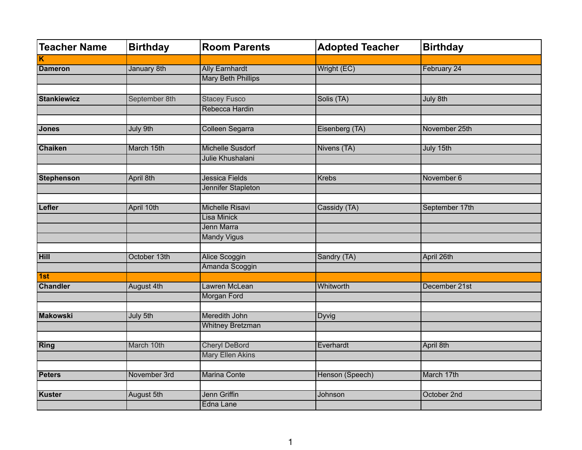| <b>Teacher Name</b> | <b>Birthday</b> | <b>Room Parents</b>       | <b>Adopted Teacher</b> | <b>Birthday</b> |
|---------------------|-----------------|---------------------------|------------------------|-----------------|
| Κ                   |                 |                           |                        |                 |
| <b>Dameron</b>      | January 8th     | <b>Ally Earnhardt</b>     | Wright (EC)            | February 24     |
|                     |                 | <b>Mary Beth Phillips</b> |                        |                 |
|                     |                 |                           |                        |                 |
| <b>Stankiewicz</b>  | September 8th   | <b>Stacey Fusco</b>       | Solis (TA)             | July 8th        |
|                     |                 | Rebecca Hardin            |                        |                 |
|                     |                 |                           |                        |                 |
| Jones               | July 9th        | <b>Colleen Segarra</b>    | Eisenberg (TA)         | November 25th   |
|                     |                 |                           |                        |                 |
| <b>Chaiken</b>      | March 15th      | <b>Michelle Susdorf</b>   | Nivens (TA)            | July 15th       |
|                     |                 | Julie Khushalani          |                        |                 |
|                     |                 |                           |                        |                 |
| <b>Stephenson</b>   | April 8th       | Jessica Fields            | <b>Krebs</b>           | November 6      |
|                     |                 | Jennifer Stapleton        |                        |                 |
|                     |                 |                           |                        |                 |
| Lefler              | April 10th      | <b>Michelle Risavi</b>    | Cassidy (TA)           | September 17th  |
|                     |                 | Lisa Minick               |                        |                 |
|                     |                 | Jenn Marra                |                        |                 |
|                     |                 | <b>Mandy Vigus</b>        |                        |                 |
|                     |                 |                           |                        |                 |
| Hill                | October 13th    | <b>Alice Scoggin</b>      | Sandry (TA)            | April 26th      |
|                     |                 | Amanda Scoggin            |                        |                 |
| 1st                 |                 |                           |                        |                 |
| <b>Chandler</b>     | August 4th      | Lawren McLean             | Whitworth              | December 21st   |
|                     |                 | <b>Morgan Ford</b>        |                        |                 |
|                     |                 |                           |                        |                 |
| <b>Makowski</b>     | July 5th        | Meredith John             | <b>Dyvig</b>           |                 |
|                     |                 | <b>Whitney Bretzman</b>   |                        |                 |
|                     |                 |                           |                        |                 |
| Ring                | March 10th      | <b>Cheryl DeBord</b>      | Everhardt              | April 8th       |
|                     |                 | <b>Mary Ellen Akins</b>   |                        |                 |
|                     |                 |                           |                        |                 |
| <b>Peters</b>       | November 3rd    | <b>Marina Conte</b>       | Henson (Speech)        | March 17th      |
|                     |                 |                           |                        |                 |
| Kuster              | August 5th      | Jenn Griffin              | Johnson                | October 2nd     |
|                     |                 | Edna Lane                 |                        |                 |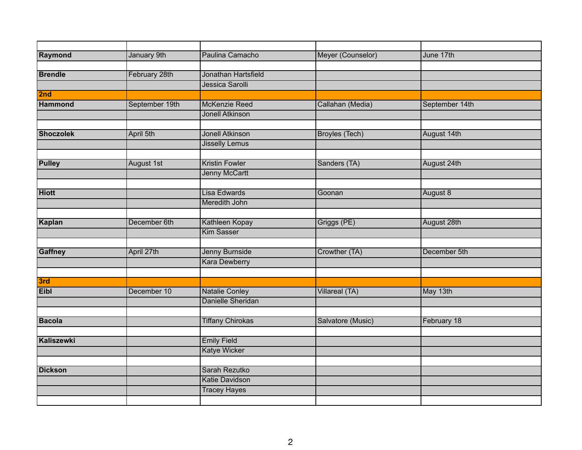| Raymond          | January 9th    | Paulina Camacho         | Meyer (Counselor)     | June 17th      |
|------------------|----------------|-------------------------|-----------------------|----------------|
|                  |                |                         |                       |                |
| <b>Brendle</b>   | February 28th  | Jonathan Hartsfield     |                       |                |
|                  |                | Jessica Sarolli         |                       |                |
| 2nd              |                |                         |                       |                |
| <b>Hammond</b>   | September 19th | <b>McKenzie Reed</b>    | Callahan (Media)      | September 14th |
|                  |                | <b>Jonell Atkinson</b>  |                       |                |
|                  |                |                         |                       |                |
| <b>Shoczolek</b> | April 5th      | <b>Jonell Atkinson</b>  | <b>Broyles (Tech)</b> | August 14th    |
|                  |                | <b>Jisselly Lemus</b>   |                       |                |
|                  |                |                         |                       |                |
| <b>Pulley</b>    | August 1st     | <b>Kristin Fowler</b>   | Sanders (TA)          | August 24th    |
|                  |                | <b>Jenny McCartt</b>    |                       |                |
|                  |                |                         |                       |                |
| <b>Hiott</b>     |                | Lisa Edwards            | Goonan                | August 8       |
|                  |                | Meredith John           |                       |                |
|                  |                |                         |                       |                |
| Kaplan           | December 6th   | Kathleen Kopay          | Griggs (PE)           | August 28th    |
|                  |                | <b>Kim Sasser</b>       |                       |                |
|                  |                |                         |                       |                |
| <b>Gaffney</b>   | April 27th     | <b>Jenny Burnside</b>   | Crowther (TA)         | December 5th   |
|                  |                | <b>Kara Dewberry</b>    |                       |                |
|                  |                |                         |                       |                |
| 3rd              |                |                         |                       |                |
| <b>Eibl</b>      | December 10    | <b>Natalie Conley</b>   | Villareal (TA)        | May 13th       |
|                  |                | Danielle Sheridan       |                       |                |
|                  |                |                         |                       |                |
| <b>Bacola</b>    |                | <b>Tiffany Chirokas</b> | Salvatore (Music)     | February 18    |
| Kaliszewki       |                | <b>Emily Field</b>      |                       |                |
|                  |                | <b>Katye Wicker</b>     |                       |                |
|                  |                |                         |                       |                |
| <b>Dickson</b>   |                | Sarah Rezutko           |                       |                |
|                  |                | <b>Katie Davidson</b>   |                       |                |
|                  |                | <b>Tracey Hayes</b>     |                       |                |
|                  |                |                         |                       |                |
|                  |                |                         |                       |                |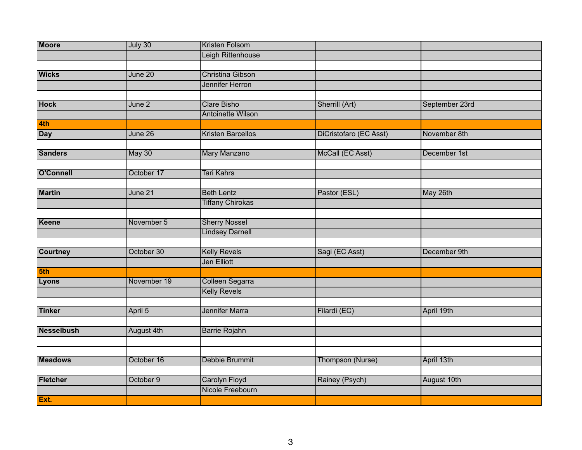| <b>Moore</b>      | July 30     | <b>Kristen Folsom</b>                    |                        |                |
|-------------------|-------------|------------------------------------------|------------------------|----------------|
|                   |             | Leigh Rittenhouse                        |                        |                |
|                   |             |                                          |                        |                |
| <b>Wicks</b>      | June 20     | <b>Christina Gibson</b>                  |                        |                |
|                   |             | Jennifer Herron                          |                        |                |
|                   |             |                                          |                        |                |
| <b>Hock</b>       | June 2      | <b>Clare Bisho</b>                       | Sherrill (Art)         | September 23rd |
|                   |             | <b>Antoinette Wilson</b>                 |                        |                |
| 4th               |             |                                          |                        |                |
| <b>Day</b>        | June 26     | <b>Kristen Barcellos</b>                 | DiCristofaro (EC Asst) | November 8th   |
|                   |             |                                          |                        |                |
| <b>Sanders</b>    | May 30      | <b>Mary Manzano</b>                      | McCall (EC Asst)       | December 1st   |
|                   |             |                                          |                        |                |
| O'Connell         | October 17  | <b>Tari Kahrs</b>                        |                        |                |
|                   |             |                                          |                        |                |
| <b>Martin</b>     | June 21     | <b>Beth Lentz</b>                        | Pastor (ESL)           | May 26th       |
|                   |             | <b>Tiffany Chirokas</b>                  |                        |                |
|                   |             |                                          |                        |                |
| Keene             | November 5  | <b>Sherry Nossel</b>                     |                        |                |
|                   |             | <b>Lindsey Darnell</b>                   |                        |                |
|                   |             |                                          |                        |                |
| <b>Courtney</b>   | October 30  | <b>Kelly Revels</b>                      | Sagi (EC Asst)         | December 9th   |
|                   |             | Jen Elliott                              |                        |                |
| 5th               |             |                                          |                        |                |
| <b>Lyons</b>      | November 19 | Colleen Segarra                          |                        |                |
|                   |             | <b>Kelly Revels</b>                      |                        |                |
|                   |             |                                          |                        |                |
| <b>Tinker</b>     | April 5     | <b>Jennifer Marra</b>                    | Filardi (EC)           | April 19th     |
|                   |             |                                          |                        |                |
| <b>Nesselbush</b> | August 4th  | <b>Barrie Rojahn</b>                     |                        |                |
|                   |             |                                          |                        |                |
| <b>Meadows</b>    |             |                                          |                        |                |
|                   | October 16  | Debbie Brummit                           | Thompson (Nurse)       | April 13th     |
| Fletcher          | October 9   |                                          |                        |                |
|                   |             | <b>Carolyn Floyd</b><br>Nicole Freebourn | Rainey (Psych)         | August 10th    |
|                   |             |                                          |                        |                |
| Ext.              |             |                                          |                        |                |